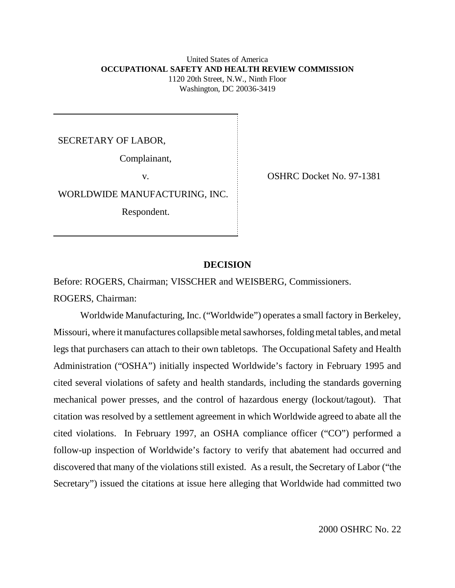### United States of America **OCCUPATIONAL SAFETY AND HEALTH REVIEW COMMISSION** 1120 20th Street, N.W., Ninth Floor Washington, DC 20036-3419

SECRETARY OF LABOR,

Complainant,

WORLDWIDE MANUFACTURING, INC.

Respondent.

v. COSHRC Docket No. 97-1381

## **DECISION**

Before: ROGERS, Chairman; VISSCHER and WEISBERG, Commissioners.

ROGERS, Chairman:

Worldwide Manufacturing, Inc. ("Worldwide") operates a small factory in Berkeley, Missouri, where it manufactures collapsible metal sawhorses, folding metal tables, and metal legs that purchasers can attach to their own tabletops. The Occupational Safety and Health Administration ("OSHA") initially inspected Worldwide's factory in February 1995 and cited several violations of safety and health standards, including the standards governing mechanical power presses, and the control of hazardous energy (lockout/tagout). That citation was resolved by a settlement agreement in which Worldwide agreed to abate all the cited violations. In February 1997, an OSHA compliance officer ("CO") performed a follow-up inspection of Worldwide's factory to verify that abatement had occurred and discovered that many of the violations still existed. As a result, the Secretary of Labor ("the Secretary") issued the citations at issue here alleging that Worldwide had committed two

2000 OSHRC No. 22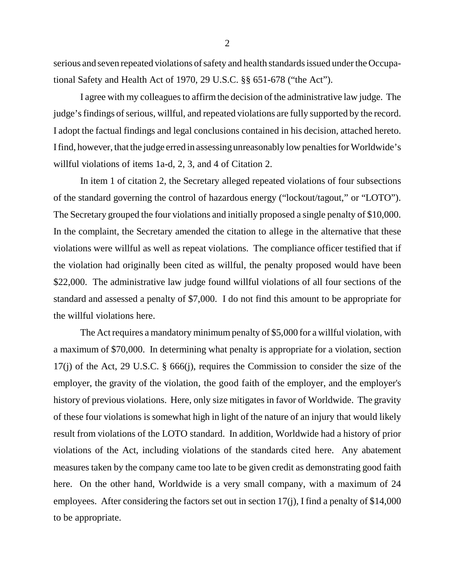serious and seven repeated violations of safety and health standards issued under the Occupational Safety and Health Act of 1970, 29 U.S.C. §§ 651-678 ("the Act").

I agree with my colleagues to affirm the decision of the administrative law judge. The judge's findings of serious, willful, and repeated violations are fully supported by the record. I adopt the factual findings and legal conclusions contained in his decision, attached hereto. I find, however, that the judge erred in assessing unreasonably low penalties for Worldwide's willful violations of items 1a-d, 2, 3, and 4 of Citation 2.

In item 1 of citation 2, the Secretary alleged repeated violations of four subsections of the standard governing the control of hazardous energy ("lockout/tagout," or "LOTO"). The Secretary grouped the four violations and initially proposed a single penalty of \$10,000. In the complaint, the Secretary amended the citation to allege in the alternative that these violations were willful as well as repeat violations. The compliance officer testified that if the violation had originally been cited as willful, the penalty proposed would have been \$22,000. The administrative law judge found willful violations of all four sections of the standard and assessed a penalty of \$7,000. I do not find this amount to be appropriate for the willful violations here.

The Act requires a mandatory minimum penalty of \$5,000 for a willful violation, with a maximum of \$70,000. In determining what penalty is appropriate for a violation, section 17(j) of the Act, 29 U.S.C. § 666(j), requires the Commission to consider the size of the employer, the gravity of the violation, the good faith of the employer, and the employer's history of previous violations. Here, only size mitigates in favor of Worldwide. The gravity of these four violations is somewhat high in light of the nature of an injury that would likely result from violations of the LOTO standard. In addition, Worldwide had a history of prior violations of the Act, including violations of the standards cited here. Any abatement measures taken by the company came too late to be given credit as demonstrating good faith here. On the other hand, Worldwide is a very small company, with a maximum of 24 employees. After considering the factors set out in section 17(j), I find a penalty of \$14,000 to be appropriate.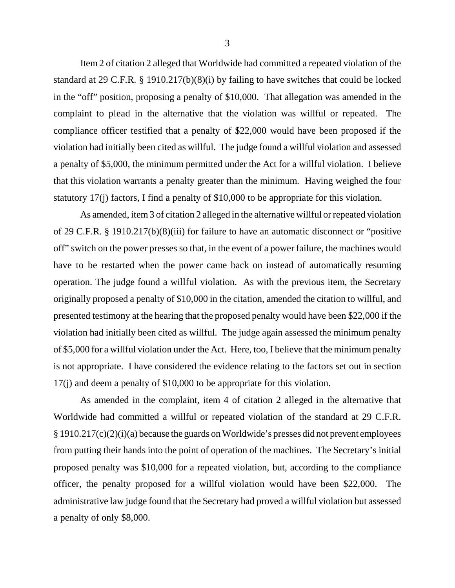Item 2 of citation 2 alleged that Worldwide had committed a repeated violation of the standard at 29 C.F.R. § 1910.217(b)(8)(i) by failing to have switches that could be locked in the "off" position, proposing a penalty of \$10,000. That allegation was amended in the complaint to plead in the alternative that the violation was willful or repeated. The compliance officer testified that a penalty of \$22,000 would have been proposed if the violation had initially been cited as willful. The judge found a willful violation and assessed a penalty of \$5,000, the minimum permitted under the Act for a willful violation. I believe that this violation warrants a penalty greater than the minimum. Having weighed the four statutory 17(j) factors, I find a penalty of \$10,000 to be appropriate for this violation.

As amended, item 3 of citation 2 alleged in the alternative willful or repeated violation of 29 C.F.R. § 1910.217(b)(8)(iii) for failure to have an automatic disconnect or "positive off" switch on the power presses so that, in the event of a power failure, the machines would have to be restarted when the power came back on instead of automatically resuming operation. The judge found a willful violation. As with the previous item, the Secretary originally proposed a penalty of \$10,000 in the citation, amended the citation to willful, and presented testimony at the hearing that the proposed penalty would have been \$22,000 if the violation had initially been cited as willful. The judge again assessed the minimum penalty of \$5,000 for a willful violation under the Act. Here, too, I believe that the minimum penalty is not appropriate. I have considered the evidence relating to the factors set out in section 17(j) and deem a penalty of \$10,000 to be appropriate for this violation.

As amended in the complaint, item 4 of citation 2 alleged in the alternative that Worldwide had committed a willful or repeated violation of the standard at 29 C.F.R. § 1910.217(c)(2)(i)(a) because the guards on Worldwide's presses did not prevent employees from putting their hands into the point of operation of the machines. The Secretary's initial proposed penalty was \$10,000 for a repeated violation, but, according to the compliance officer, the penalty proposed for a willful violation would have been \$22,000. The administrative law judge found that the Secretary had proved a willful violation but assessed a penalty of only \$8,000.

3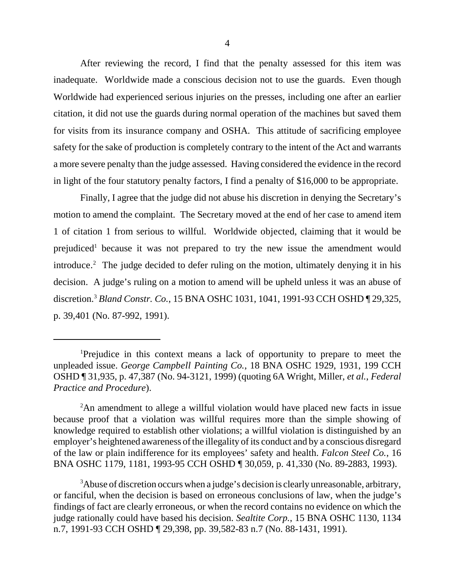After reviewing the record, I find that the penalty assessed for this item was inadequate. Worldwide made a conscious decision not to use the guards. Even though Worldwide had experienced serious injuries on the presses, including one after an earlier citation, it did not use the guards during normal operation of the machines but saved them for visits from its insurance company and OSHA. This attitude of sacrificing employee safety for the sake of production is completely contrary to the intent of the Act and warrants a more severe penalty than the judge assessed. Having considered the evidence in the record in light of the four statutory penalty factors, I find a penalty of \$16,000 to be appropriate.

Finally, I agree that the judge did not abuse his discretion in denying the Secretary's motion to amend the complaint. The Secretary moved at the end of her case to amend item 1 of citation 1 from serious to willful. Worldwide objected, claiming that it would be prejudiced<sup>1</sup> because it was not prepared to try the new issue the amendment would introduce.<sup>2</sup> The judge decided to defer ruling on the motion, ultimately denying it in his decision. A judge's ruling on a motion to amend will be upheld unless it was an abuse of discretion.3 *Bland Constr. Co.*, 15 BNA OSHC 1031, 1041, 1991-93 CCH OSHD ¶ 29,325, p. 39,401 (No. 87-992, 1991).

<sup>1</sup> Prejudice in this context means a lack of opportunity to prepare to meet the unpleaded issue. *George Campbell Painting Co.*, 18 BNA OSHC 1929, 1931, 199 CCH OSHD ¶ 31,935, p. 47,387 (No. 94-3121, 1999) (quoting 6A Wright, Miller, *et al.*, *Federal Practice and Procedure*).

<sup>&</sup>lt;sup>2</sup>An amendment to allege a willful violation would have placed new facts in issue because proof that a violation was willful requires more than the simple showing of knowledge required to establish other violations; a willful violation is distinguished by an employer's heightened awareness of the illegality of its conduct and by a conscious disregard of the law or plain indifference for its employees' safety and health. *Falcon Steel Co.*, 16 BNA OSHC 1179, 1181, 1993-95 CCH OSHD ¶ 30,059, p. 41,330 (No. 89-2883, 1993).

 $3$ Abuse of discretion occurs when a judge's decision is clearly unreasonable, arbitrary, or fanciful, when the decision is based on erroneous conclusions of law, when the judge's findings of fact are clearly erroneous, or when the record contains no evidence on which the judge rationally could have based his decision. *Sealtite Corp.*, 15 BNA OSHC 1130, 1134 n.7, 1991-93 CCH OSHD ¶ 29,398, pp. 39,582-83 n.7 (No. 88-1431, 1991).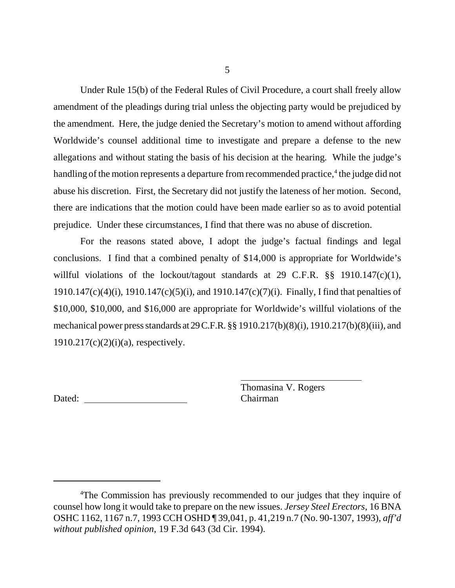Under Rule 15(b) of the Federal Rules of Civil Procedure, a court shall freely allow amendment of the pleadings during trial unless the objecting party would be prejudiced by the amendment. Here, the judge denied the Secretary's motion to amend without affording Worldwide's counsel additional time to investigate and prepare a defense to the new allegations and without stating the basis of his decision at the hearing. While the judge's handling of the motion represents a departure from recommended practice,<sup>4</sup> the judge did not abuse his discretion. First, the Secretary did not justify the lateness of her motion. Second, there are indications that the motion could have been made earlier so as to avoid potential prejudice. Under these circumstances, I find that there was no abuse of discretion.

For the reasons stated above, I adopt the judge's factual findings and legal conclusions. I find that a combined penalty of \$14,000 is appropriate for Worldwide's willful violations of the lockout/tagout standards at 29 C.F.R. §§ 1910.147(c)(1), 1910.147(c)(4)(i), 1910.147(c)(5)(i), and 1910.147(c)(7)(i). Finally, I find that penalties of \$10,000, \$10,000, and \$16,000 are appropriate for Worldwide's willful violations of the mechanical power press standards at 29 C.F.R. §§ 1910.217(b)(8)(i), 1910.217(b)(8)(iii), and  $1910.217(c)(2)(i)(a)$ , respectively.

Dated: Chairman

Thomasina V. Rogers

<sup>&</sup>lt;sup>4</sup>The Commission has previously recommended to our judges that they inquire of counsel how long it would take to prepare on the new issues. *Jersey Steel Erectors*, 16 BNA OSHC 1162, 1167 n.7, 1993 CCH OSHD ¶ 39,041, p. 41,219 n.7 (No. 90-1307, 1993), *aff'd without published opinion*, 19 F.3d 643 (3d Cir. 1994).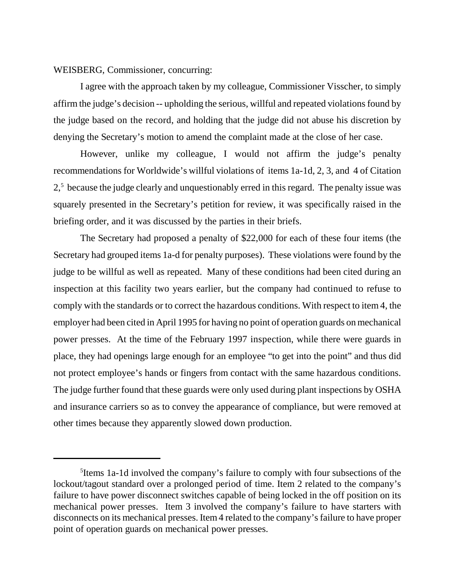WEISBERG, Commissioner, concurring:

I agree with the approach taken by my colleague, Commissioner Visscher, to simply affirm the judge's decision -- upholding the serious, willful and repeated violations found by the judge based on the record, and holding that the judge did not abuse his discretion by denying the Secretary's motion to amend the complaint made at the close of her case.

However, unlike my colleague, I would not affirm the judge's penalty recommendations for Worldwide's willful violations of items 1a-1d, 2, 3, and 4 of Citation 2,<sup>5</sup> because the judge clearly and unquestionably erred in this regard. The penalty issue was squarely presented in the Secretary's petition for review, it was specifically raised in the briefing order, and it was discussed by the parties in their briefs.

The Secretary had proposed a penalty of \$22,000 for each of these four items (the Secretary had grouped items 1a-d for penalty purposes). These violations were found by the judge to be willful as well as repeated. Many of these conditions had been cited during an inspection at this facility two years earlier, but the company had continued to refuse to comply with the standards or to correct the hazardous conditions. With respect to item 4, the employer had been cited in April 1995 for having no point of operation guards on mechanical power presses. At the time of the February 1997 inspection, while there were guards in place, they had openings large enough for an employee "to get into the point" and thus did not protect employee's hands or fingers from contact with the same hazardous conditions. The judge further found that these guards were only used during plant inspections by OSHA and insurance carriers so as to convey the appearance of compliance, but were removed at other times because they apparently slowed down production.

<sup>5</sup> Items 1a-1d involved the company's failure to comply with four subsections of the lockout/tagout standard over a prolonged period of time. Item 2 related to the company's failure to have power disconnect switches capable of being locked in the off position on its mechanical power presses. Item 3 involved the company's failure to have starters with disconnects on its mechanical presses. Item 4 related to the company's failure to have proper point of operation guards on mechanical power presses.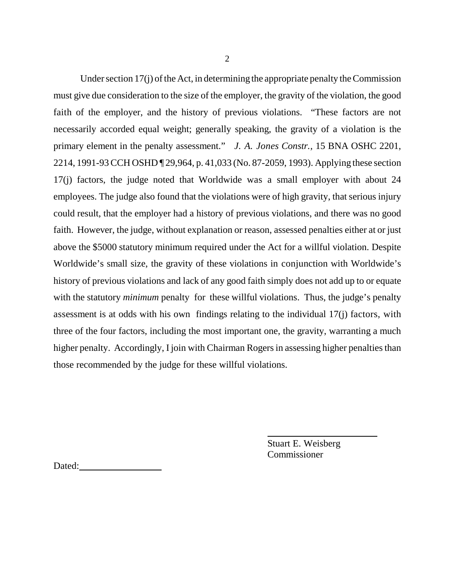Under section 17(j) of the Act, in determining the appropriate penalty the Commission must give due consideration to the size of the employer, the gravity of the violation, the good faith of the employer, and the history of previous violations. "These factors are not necessarily accorded equal weight; generally speaking, the gravity of a violation is the primary element in the penalty assessment." *J. A. Jones Constr.,* 15 BNA OSHC 2201, 2214, 1991-93 CCH OSHD ¶ 29,964, p. 41,033 (No. 87-2059, 1993). Applying these section 17(j) factors, the judge noted that Worldwide was a small employer with about 24 employees. The judge also found that the violations were of high gravity, that serious injury could result, that the employer had a history of previous violations, and there was no good faith. However, the judge, without explanation or reason, assessed penalties either at or just above the \$5000 statutory minimum required under the Act for a willful violation. Despite Worldwide's small size, the gravity of these violations in conjunction with Worldwide's history of previous violations and lack of any good faith simply does not add up to or equate with the statutory *minimum* penalty for these willful violations. Thus, the judge's penalty assessment is at odds with his own findings relating to the individual 17(j) factors, with three of the four factors, including the most important one, the gravity, warranting a much higher penalty. Accordingly, I join with Chairman Rogers in assessing higher penalties than those recommended by the judge for these willful violations.

> Stuart E. Weisberg **Commissioner**

ı

Dated: **Dates of the United States of the United States of the United States of the United States of the United States of the United States of the United States of the United States of the United States of the United State**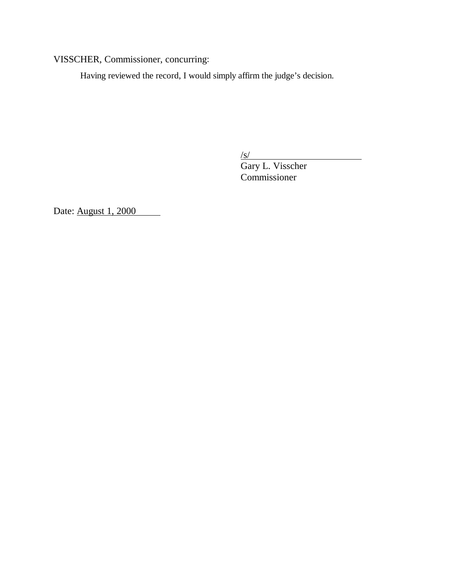VISSCHER, Commissioner, concurring:

Having reviewed the record, I would simply affirm the judge's decision.

 $\sqrt{s/}$ 

Gary L. Visscher Commissioner

Date: <u>August 1, 2000</u>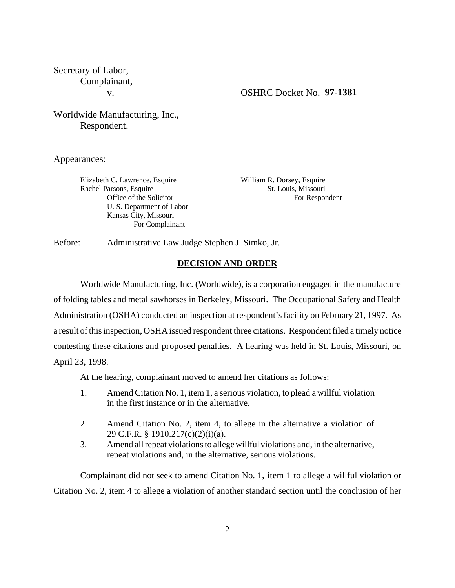Secretary of Labor, Complainant,

#### v. OSHRC Docket No. **97-1381**

# Worldwide Manufacturing, Inc., Respondent.

Appearances:

Elizabeth C. Lawrence, Esquire William R. Dorsey, Esquire Rachel Parsons, Esquire St. Louis, Missouri U. S. Department of Labor Kansas City, Missouri For Complainant

Office of the Solicitor For Respondent

Before: Administrative Law Judge Stephen J. Simko, Jr.

### **DECISION AND ORDER**

Worldwide Manufacturing, Inc. (Worldwide), is a corporation engaged in the manufacture of folding tables and metal sawhorses in Berkeley, Missouri. The Occupational Safety and Health Administration (OSHA) conducted an inspection at respondent's facility on February 21, 1997. As a result of this inspection, OSHA issued respondent three citations. Respondent filed a timely notice contesting these citations and proposed penalties. A hearing was held in St. Louis, Missouri, on April 23, 1998.

At the hearing, complainant moved to amend her citations as follows:

- 1. Amend Citation No. 1, item 1, a serious violation, to plead a willful violation in the first instance or in the alternative.
- 2. Amend Citation No. 2, item 4, to allege in the alternative a violation of 29 C.F.R. § 1910.217(c)(2)(i)(a).
- 3. Amend all repeat violations to allege willful violations and, in the alternative, repeat violations and, in the alternative, serious violations.

Complainant did not seek to amend Citation No. 1, item 1 to allege a willful violation or Citation No. 2, item 4 to allege a violation of another standard section until the conclusion of her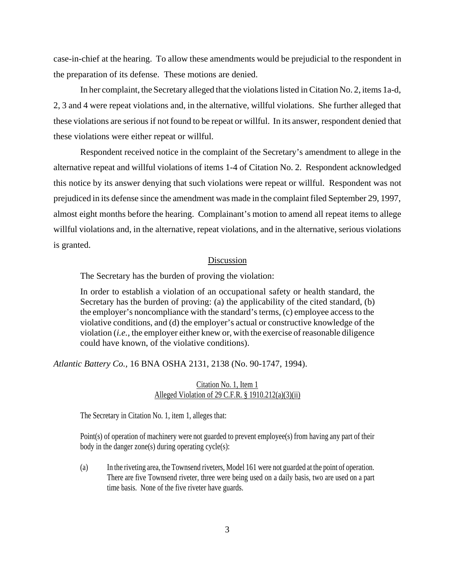case-in-chief at the hearing. To allow these amendments would be prejudicial to the respondent in the preparation of its defense. These motions are denied.

In her complaint, the Secretary alleged that the violations listed in Citation No. 2, items 1a-d, 2, 3 and 4 were repeat violations and, in the alternative, willful violations. She further alleged that these violations are serious if not found to be repeat or willful. In its answer, respondent denied that these violations were either repeat or willful.

Respondent received notice in the complaint of the Secretary's amendment to allege in the alternative repeat and willful violations of items 1-4 of Citation No. 2. Respondent acknowledged this notice by its answer denying that such violations were repeat or willful. Respondent was not prejudiced in its defense since the amendment was made in the complaint filed September 29, 1997, almost eight months before the hearing. Complainant's motion to amend all repeat items to allege willful violations and, in the alternative, repeat violations, and in the alternative, serious violations is granted.

#### Discussion

The Secretary has the burden of proving the violation:

In order to establish a violation of an occupational safety or health standard, the Secretary has the burden of proving: (a) the applicability of the cited standard, (b) the employer's noncompliance with the standard's terms, (c) employee access to the violative conditions, and (d) the employer's actual or constructive knowledge of the violation (*i.e.,* the employer either knew or, with the exercise of reasonable diligence could have known, of the violative conditions).

*Atlantic Battery Co.,* 16 BNA OSHA 2131, 2138 (No. 90-1747, 1994).

## Citation No. 1, Item 1 Alleged Violation of 29 C.F.R. § 1910.212(a)(3)(ii)

The Secretary in Citation No. 1, item 1, alleges that:

Point(s) of operation of machinery were not guarded to prevent employee(s) from having any part of their body in the danger zone(s) during operating cycle(s):

(a) In the riveting area, the Townsend riveters, Model 161 were not guarded at the point of operation. There are five Townsend riveter, three were being used on a daily basis, two are used on a part time basis. None of the five riveter have guards.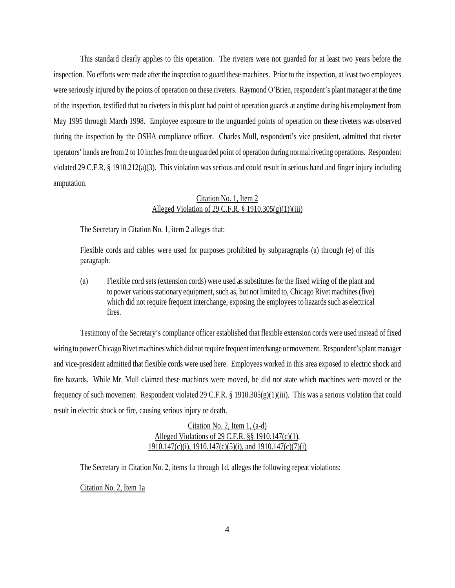This standard clearly applies to this operation. The riveters were not guarded for at least two years before the inspection. No efforts were made after the inspection to guard these machines. Prior to the inspection, at least two employees were seriously injured by the points of operation on these riveters. Raymond O'Brien, respondent's plant manager at the time of the inspection, testified that no riveters in this plant had point of operation guards at anytime during his employment from May 1995 through March 1998. Employee exposure to the unguarded points of operation on these riveters was observed during the inspection by the OSHA compliance officer. Charles Mull, respondent's vice president, admitted that riveter operators' hands are from 2 to 10 inches from the unguarded point of operation during normal riveting operations. Respondent violated 29 C.F.R. § 1910.212(a)(3). This violation was serious and could result in serious hand and finger injury including amputation.

## Citation No. 1, Item 2 Alleged Violation of 29 C.F.R.  $\S$  1910.305(g)(1))(iii)

The Secretary in Citation No. 1, item 2 alleges that:

Flexible cords and cables were used for purposes prohibited by subparagraphs (a) through (e) of this paragraph:

(a) Flexible cord sets (extension cords) were used as substitutes for the fixed wiring of the plant and to power various stationary equipment, such as, but not limited to, Chicago Rivet machines (five) which did not require frequent interchange, exposing the employees to hazards such as electrical fires.

Testimony of the Secretary's compliance officer established that flexible extension cords were used instead of fixed wiring to power Chicago Rivet machines which did not require frequent interchange or movement. Respondent's plant manager and vice-president admitted that flexible cords were used here. Employees worked in this area exposed to electric shock and fire hazards. While Mr. Mull claimed these machines were moved, he did not state which machines were moved or the frequency of such movement. Respondent violated 29 C.F.R. § 1910.305(g)(1)(iii). This was a serious violation that could result in electric shock or fire, causing serious injury or death.

> Citation No. 2, Item 1, (a-d) Alleged Violations of 29 C.F.R. §§ 1910.147(c)(1), 1910.147(c)(i), 1910.147(c)(5)(i), and 1910.147(c)(7)(i)

The Secretary in Citation No. 2, items 1a through 1d, alleges the following repeat violations:

Citation No. 2, Item 1a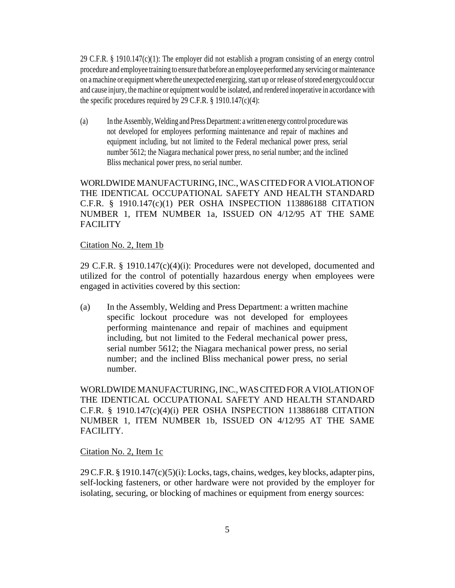29 C.F.R. § 1910.147(c)(1): The employer did not establish a program consisting of an energy control procedure and employee training to ensure that before an employee performed any servicing or maintenance on a machine or equipment where the unexpected energizing, start up or release of stored energy could occur and cause injury, the machine or equipment would be isolated, and rendered inoperative in accordance with the specific procedures required by 29 C.F.R. § 1910.147(c)(4):

(a) In the Assembly, Welding and Press Department: a written energy control procedure was not developed for employees performing maintenance and repair of machines and equipment including, but not limited to the Federal mechanical power press, serial number 5612; the Niagara mechanical power press, no serial number; and the inclined Bliss mechanical power press, no serial number.

WORLDWIDE MANUFACTURING, INC., WAS CITED FOR A VIOLATION OF THE IDENTICAL OCCUPATIONAL SAFETY AND HEALTH STANDARD C.F.R. § 1910.147(c)(1) PER OSHA INSPECTION 113886188 CITATION NUMBER 1, ITEM NUMBER 1a, ISSUED ON 4/12/95 AT THE SAME **FACILITY** 

### Citation No. 2, Item 1b

29 C.F.R. § 1910.147(c)(4)(i): Procedures were not developed, documented and utilized for the control of potentially hazardous energy when employees were engaged in activities covered by this section:

(a) In the Assembly, Welding and Press Department: a written machine specific lockout procedure was not developed for employees performing maintenance and repair of machines and equipment including, but not limited to the Federal mechanical power press, serial number 5612; the Niagara mechanical power press, no serial number; and the inclined Bliss mechanical power press, no serial number.

WORLDWIDE MANUFACTURING, INC., WAS CITED FOR A VIOLATION OF THE IDENTICAL OCCUPATIONAL SAFETY AND HEALTH STANDARD C.F.R. § 1910.147(c)(4)(i) PER OSHA INSPECTION 113886188 CITATION NUMBER 1, ITEM NUMBER 1b, ISSUED ON 4/12/95 AT THE SAME FACILITY.

### Citation No. 2, Item 1c

29 C.F.R. § 1910.147(c)(5)(i): Locks, tags, chains, wedges, key blocks, adapter pins, self-locking fasteners, or other hardware were not provided by the employer for isolating, securing, or blocking of machines or equipment from energy sources: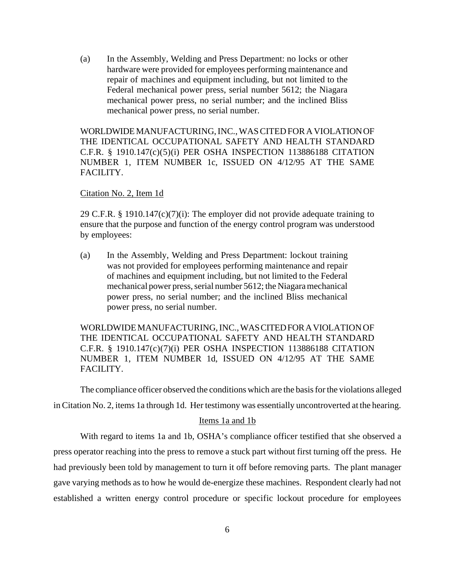(a) In the Assembly, Welding and Press Department: no locks or other hardware were provided for employees performing maintenance and repair of machines and equipment including, but not limited to the Federal mechanical power press, serial number 5612; the Niagara mechanical power press, no serial number; and the inclined Bliss mechanical power press, no serial number.

WORLDWIDE MANUFACTURING, INC., WAS CITED FOR A VIOLATION OF THE IDENTICAL OCCUPATIONAL SAFETY AND HEALTH STANDARD C.F.R. § 1910.147(c)(5)(i) PER OSHA INSPECTION 113886188 CITATION NUMBER 1, ITEM NUMBER 1c, ISSUED ON 4/12/95 AT THE SAME FACILITY.

## Citation No. 2, Item 1d

29 C.F.R. § 1910.147(c)(7)(i): The employer did not provide adequate training to ensure that the purpose and function of the energy control program was understood by employees:

(a) In the Assembly, Welding and Press Department: lockout training was not provided for employees performing maintenance and repair of machines and equipment including, but not limited to the Federal mechanical power press, serial number 5612; the Niagara mechanical power press, no serial number; and the inclined Bliss mechanical power press, no serial number.

WORLDWIDE MANUFACTURING, INC., WAS CITED FOR A VIOLATION OF THE IDENTICAL OCCUPATIONAL SAFETY AND HEALTH STANDARD C.F.R. § 1910.147(c)(7)(i) PER OSHA INSPECTION 113886188 CITATION NUMBER 1, ITEM NUMBER 1d, ISSUED ON 4/12/95 AT THE SAME FACILITY.

The compliance officer observed the conditions which are the basis for the violations alleged in Citation No. 2, items 1a through 1d. Her testimony was essentially uncontroverted at the hearing.

## Items 1a and 1b

With regard to items 1a and 1b, OSHA's compliance officer testified that she observed a press operator reaching into the press to remove a stuck part without first turning off the press. He had previously been told by management to turn it off before removing parts. The plant manager gave varying methods as to how he would de-energize these machines. Respondent clearly had not established a written energy control procedure or specific lockout procedure for employees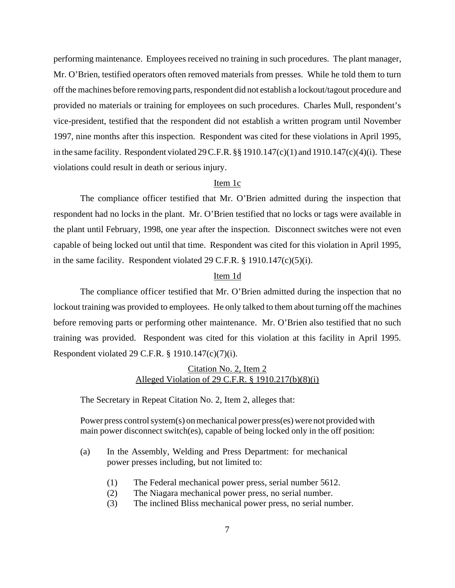performing maintenance. Employees received no training in such procedures. The plant manager, Mr. O'Brien, testified operators often removed materials from presses. While he told them to turn off the machines before removing parts, respondent did not establish a lockout/tagout procedure and provided no materials or training for employees on such procedures. Charles Mull, respondent's vice-president, testified that the respondent did not establish a written program until November 1997, nine months after this inspection. Respondent was cited for these violations in April 1995, in the same facility. Respondent violated 29 C.F.R. §§ 1910.147(c)(1) and 1910.147(c)(4)(i). These violations could result in death or serious injury.

## Item 1c

The compliance officer testified that Mr. O'Brien admitted during the inspection that respondent had no locks in the plant. Mr. O'Brien testified that no locks or tags were available in the plant until February, 1998, one year after the inspection. Disconnect switches were not even capable of being locked out until that time. Respondent was cited for this violation in April 1995, in the same facility. Respondent violated 29 C.F.R. § 1910.147(c)(5)(i).

#### Item 1d

The compliance officer testified that Mr. O'Brien admitted during the inspection that no lockout training was provided to employees. He only talked to them about turning off the machines before removing parts or performing other maintenance. Mr. O'Brien also testified that no such training was provided. Respondent was cited for this violation at this facility in April 1995. Respondent violated 29 C.F.R. § 1910.147(c)(7)(i).

## Citation No. 2, Item 2 Alleged Violation of 29 C.F.R. § 1910.217(b)(8)(i)

The Secretary in Repeat Citation No. 2, Item 2, alleges that:

Power press control system(s) on mechanical power press(es) were not provided with main power disconnect switch(es), capable of being locked only in the off position:

- (a) In the Assembly, Welding and Press Department: for mechanical power presses including, but not limited to:
	- (1) The Federal mechanical power press, serial number 5612.
	- (2) The Niagara mechanical power press, no serial number.
	- (3) The inclined Bliss mechanical power press, no serial number.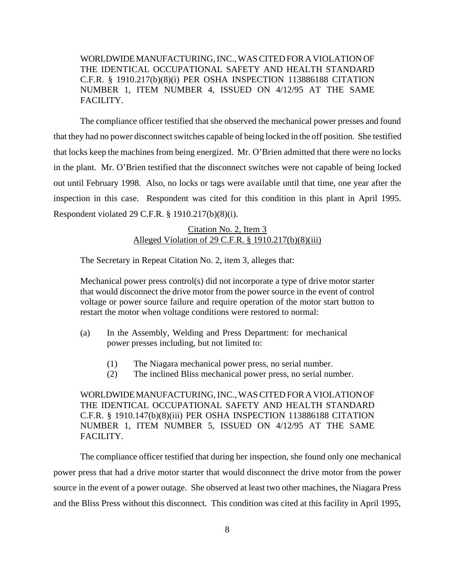WORLDWIDE MANUFACTURING, INC., WAS CITED FOR A VIOLATION OF THE IDENTICAL OCCUPATIONAL SAFETY AND HEALTH STANDARD C.F.R. § 1910.217(b)(8)(i) PER OSHA INSPECTION 113886188 CITATION NUMBER 1, ITEM NUMBER 4, ISSUED ON 4/12/95 AT THE SAME FACILITY.

The compliance officer testified that she observed the mechanical power presses and found that they had no power disconnect switches capable of being locked in the off position. She testified that locks keep the machines from being energized. Mr. O'Brien admitted that there were no locks in the plant. Mr. O'Brien testified that the disconnect switches were not capable of being locked out until February 1998. Also, no locks or tags were available until that time, one year after the inspection in this case. Respondent was cited for this condition in this plant in April 1995. Respondent violated 29 C.F.R. § 1910.217(b)(8)(i).

## Citation No. 2, Item 3 Alleged Violation of 29 C.F.R. § 1910.217(b)(8)(iii)

The Secretary in Repeat Citation No. 2, item 3, alleges that:

Mechanical power press control(s) did not incorporate a type of drive motor starter that would disconnect the drive motor from the power source in the event of control voltage or power source failure and require operation of the motor start button to restart the motor when voltage conditions were restored to normal:

- (a) In the Assembly, Welding and Press Department: for mechanical power presses including, but not limited to:
	- (1) The Niagara mechanical power press, no serial number.
	- (2) The inclined Bliss mechanical power press, no serial number.

WORLDWIDE MANUFACTURING, INC., WAS CITED FOR A VIOLATION OF THE IDENTICAL OCCUPATIONAL SAFETY AND HEALTH STANDARD C.F.R. § 1910.147(b)(8)(iii) PER OSHA INSPECTION 113886188 CITATION NUMBER 1, ITEM NUMBER 5, ISSUED ON 4/12/95 AT THE SAME FACILITY.

The compliance officer testified that during her inspection, she found only one mechanical power press that had a drive motor starter that would disconnect the drive motor from the power source in the event of a power outage. She observed at least two other machines, the Niagara Press and the Bliss Press without this disconnect. This condition was cited at this facility in April 1995,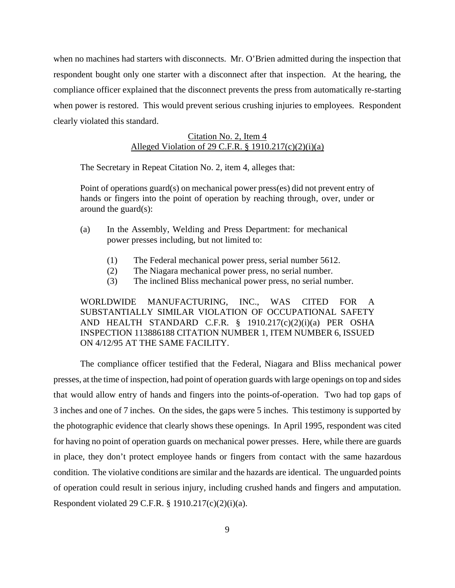when no machines had starters with disconnects. Mr. O'Brien admitted during the inspection that respondent bought only one starter with a disconnect after that inspection. At the hearing, the compliance officer explained that the disconnect prevents the press from automatically re-starting when power is restored. This would prevent serious crushing injuries to employees. Respondent clearly violated this standard.

## Citation No. 2, Item 4 Alleged Violation of 29 C.F.R.  $\S$  1910.217(c)(2)(i)(a)

The Secretary in Repeat Citation No. 2, item 4, alleges that:

Point of operations guard(s) on mechanical power press(es) did not prevent entry of hands or fingers into the point of operation by reaching through, over, under or around the guard(s):

- (a) In the Assembly, Welding and Press Department: for mechanical power presses including, but not limited to:
	- (1) The Federal mechanical power press, serial number 5612.
	- (2) The Niagara mechanical power press, no serial number.
	- (3) The inclined Bliss mechanical power press, no serial number.

WORLDWIDE MANUFACTURING, INC., WAS CITED FOR A SUBSTANTIALLY SIMILAR VIOLATION OF OCCUPATIONAL SAFETY AND HEALTH STANDARD C.F.R. § 1910.217(c)(2)(i)(a) PER OSHA INSPECTION 113886188 CITATION NUMBER 1, ITEM NUMBER 6, ISSUED ON 4/12/95 AT THE SAME FACILITY.

The compliance officer testified that the Federal, Niagara and Bliss mechanical power presses, at the time of inspection, had point of operation guards with large openings on top and sides that would allow entry of hands and fingers into the points-of-operation. Two had top gaps of 3 inches and one of 7 inches. On the sides, the gaps were 5 inches. This testimony is supported by the photographic evidence that clearly shows these openings. In April 1995, respondent was cited for having no point of operation guards on mechanical power presses. Here, while there are guards in place, they don't protect employee hands or fingers from contact with the same hazardous condition. The violative conditions are similar and the hazards are identical. The unguarded points of operation could result in serious injury, including crushed hands and fingers and amputation. Respondent violated 29 C.F.R. § 1910.217(c)(2)(i)(a).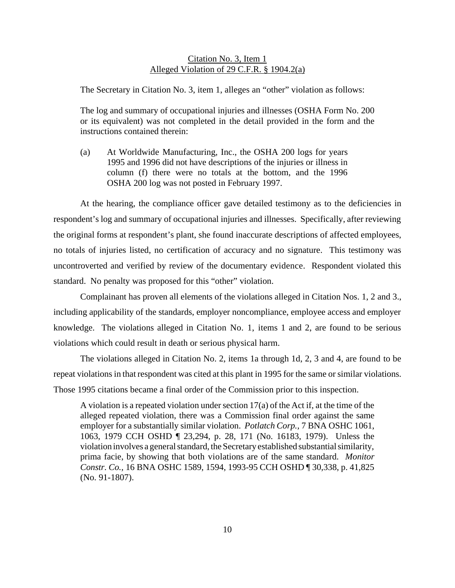## Citation No. 3, Item 1 Alleged Violation of 29 C.F.R. § 1904.2(a)

The Secretary in Citation No. 3, item 1, alleges an "other" violation as follows:

The log and summary of occupational injuries and illnesses (OSHA Form No. 200 or its equivalent) was not completed in the detail provided in the form and the instructions contained therein:

(a) At Worldwide Manufacturing, Inc., the OSHA 200 logs for years 1995 and 1996 did not have descriptions of the injuries or illness in column (f) there were no totals at the bottom, and the 1996 OSHA 200 log was not posted in February 1997.

At the hearing, the compliance officer gave detailed testimony as to the deficiencies in respondent's log and summary of occupational injuries and illnesses. Specifically, after reviewing the original forms at respondent's plant, she found inaccurate descriptions of affected employees, no totals of injuries listed, no certification of accuracy and no signature. This testimony was uncontroverted and verified by review of the documentary evidence. Respondent violated this standard. No penalty was proposed for this "other" violation.

Complainant has proven all elements of the violations alleged in Citation Nos. 1, 2 and 3., including applicability of the standards, employer noncompliance, employee access and employer knowledge. The violations alleged in Citation No. 1, items 1 and 2, are found to be serious violations which could result in death or serious physical harm.

The violations alleged in Citation No. 2, items 1a through 1d, 2, 3 and 4, are found to be repeat violations in that respondent was cited at this plant in 1995 for the same or similar violations. Those 1995 citations became a final order of the Commission prior to this inspection.

A violation is a repeated violation under section 17(a) of the Act if, at the time of the alleged repeated violation, there was a Commission final order against the same employer for a substantially similar violation. *Potlatch Corp.,* 7 BNA OSHC 1061, 1063, 1979 CCH OSHD ¶ 23,294, p. 28, 171 (No. 16183, 1979). Unless the violation involves a general standard, the Secretary established substantial similarity, prima facie, by showing that both violations are of the same standard. *Monitor Constr. Co.,* 16 BNA OSHC 1589, 1594, 1993-95 CCH OSHD ¶ 30,338, p. 41,825 (No. 91-1807).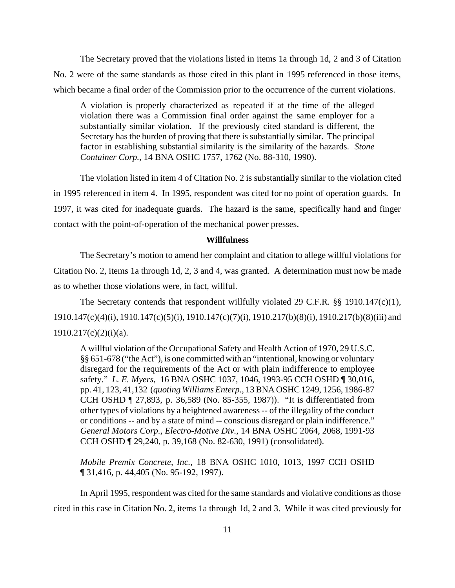The Secretary proved that the violations listed in items 1a through 1d, 2 and 3 of Citation No. 2 were of the same standards as those cited in this plant in 1995 referenced in those items, which became a final order of the Commission prior to the occurrence of the current violations.

A violation is properly characterized as repeated if at the time of the alleged violation there was a Commission final order against the same employer for a substantially similar violation. If the previously cited standard is different, the Secretary has the burden of proving that there is substantially similar. The principal factor in establishing substantial similarity is the similarity of the hazards. *Stone Container Corp.,* 14 BNA OSHC 1757, 1762 (No. 88-310, 1990).

The violation listed in item 4 of Citation No. 2 is substantially similar to the violation cited in 1995 referenced in item 4. In 1995, respondent was cited for no point of operation guards. In 1997, it was cited for inadequate guards. The hazard is the same, specifically hand and finger contact with the point-of-operation of the mechanical power presses.

#### **Willfulness**

The Secretary's motion to amend her complaint and citation to allege willful violations for Citation No. 2, items 1a through 1d, 2, 3 and 4, was granted. A determination must now be made as to whether those violations were, in fact, willful.

The Secretary contends that respondent willfully violated 29 C.F.R. §§ 1910.147(c)(1), 1910.147(c)(4)(i), 1910.147(c)(5)(i), 1910.147(c)(7)(i), 1910.217(b)(8)(i), 1910.217(b)(8)(iii) and  $1910.217(c)(2)(i)(a)$ .

A willful violation of the Occupational Safety and Health Action of 1970, 29 U.S.C. §§ 651-678 ("the Act"), is one committed with an "intentional, knowing or voluntary disregard for the requirements of the Act or with plain indifference to employee safety." *L. E. Myers*, 16 BNA OSHC 1037, 1046, 1993-95 CCH OSHD ¶ 30,016, pp. 41, 123, 41,132 (*quoting Williams Enterp*., 13 BNA OSHC 1249, 1256, 1986-87 CCH OSHD ¶ 27,893, p. 36,589 (No. 85-355, 1987)). "It is differentiated from other types of violations by a heightened awareness -- of the illegality of the conduct or conditions -- and by a state of mind -- conscious disregard or plain indifference." *General Motors Corp., Electro-Motive Div*., 14 BNA OSHC 2064, 2068, 1991-93 CCH OSHD ¶ 29,240, p. 39,168 (No. 82-630, 1991) (consolidated).

*Mobile Premix Concrete, Inc.,* 18 BNA OSHC 1010, 1013, 1997 CCH OSHD ¶ 31,416, p. 44,405 (No. 95-192, 1997).

In April 1995, respondent was cited for the same standards and violative conditions as those cited in this case in Citation No. 2, items 1a through 1d, 2 and 3. While it was cited previously for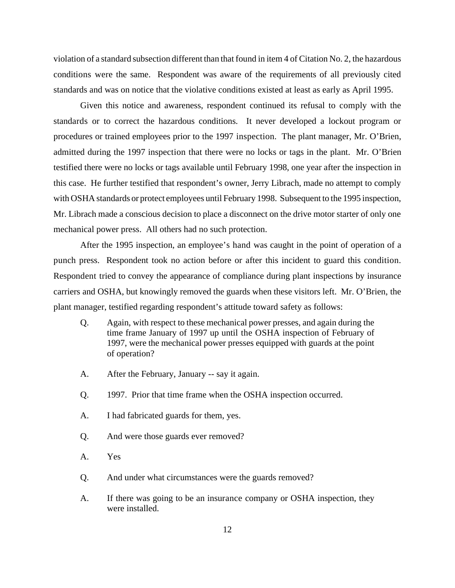violation of a standard subsection different than that found in item 4 of Citation No. 2, the hazardous conditions were the same. Respondent was aware of the requirements of all previously cited standards and was on notice that the violative conditions existed at least as early as April 1995.

Given this notice and awareness, respondent continued its refusal to comply with the standards or to correct the hazardous conditions. It never developed a lockout program or procedures or trained employees prior to the 1997 inspection. The plant manager, Mr. O'Brien, admitted during the 1997 inspection that there were no locks or tags in the plant. Mr. O'Brien testified there were no locks or tags available until February 1998, one year after the inspection in this case. He further testified that respondent's owner, Jerry Librach, made no attempt to comply with OSHA standards or protect employees until February 1998. Subsequent to the 1995 inspection, Mr. Librach made a conscious decision to place a disconnect on the drive motor starter of only one mechanical power press. All others had no such protection.

After the 1995 inspection, an employee's hand was caught in the point of operation of a punch press. Respondent took no action before or after this incident to guard this condition. Respondent tried to convey the appearance of compliance during plant inspections by insurance carriers and OSHA, but knowingly removed the guards when these visitors left. Mr. O'Brien, the plant manager, testified regarding respondent's attitude toward safety as follows:

- Q. Again, with respect to these mechanical power presses, and again during the time frame January of 1997 up until the OSHA inspection of February of 1997, were the mechanical power presses equipped with guards at the point of operation?
- A. After the February, January -- say it again.
- Q. 1997. Prior that time frame when the OSHA inspection occurred.
- A. I had fabricated guards for them, yes.
- Q. And were those guards ever removed?
- A. Yes
- Q. And under what circumstances were the guards removed?
- A. If there was going to be an insurance company or OSHA inspection, they were installed.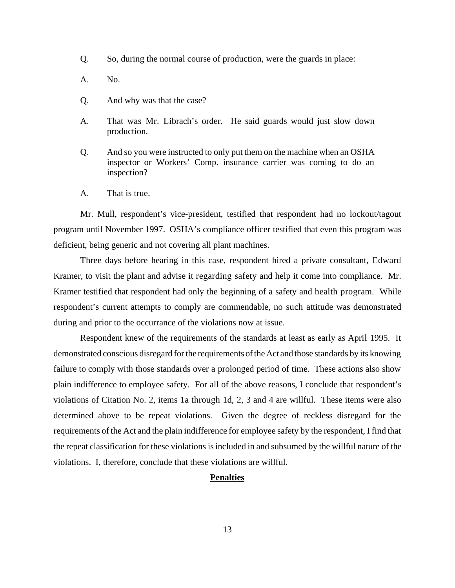- Q. So, during the normal course of production, were the guards in place:
- A. No.
- Q. And why was that the case?
- A. That was Mr. Librach's order. He said guards would just slow down production.
- Q. And so you were instructed to only put them on the machine when an OSHA inspector or Workers' Comp. insurance carrier was coming to do an inspection?
- A. That is true.

Mr. Mull, respondent's vice-president, testified that respondent had no lockout/tagout program until November 1997. OSHA's compliance officer testified that even this program was deficient, being generic and not covering all plant machines.

Three days before hearing in this case, respondent hired a private consultant, Edward Kramer, to visit the plant and advise it regarding safety and help it come into compliance. Mr. Kramer testified that respondent had only the beginning of a safety and health program. While respondent's current attempts to comply are commendable, no such attitude was demonstrated during and prior to the occurrance of the violations now at issue.

Respondent knew of the requirements of the standards at least as early as April 1995. It demonstrated conscious disregard for the requirements of the Act and those standards by its knowing failure to comply with those standards over a prolonged period of time. These actions also show plain indifference to employee safety. For all of the above reasons, I conclude that respondent's violations of Citation No. 2, items 1a through 1d, 2, 3 and 4 are willful. These items were also determined above to be repeat violations. Given the degree of reckless disregard for the requirements of the Act and the plain indifference for employee safety by the respondent, I find that the repeat classification for these violations is included in and subsumed by the willful nature of the violations. I, therefore, conclude that these violations are willful.

### **Penalties**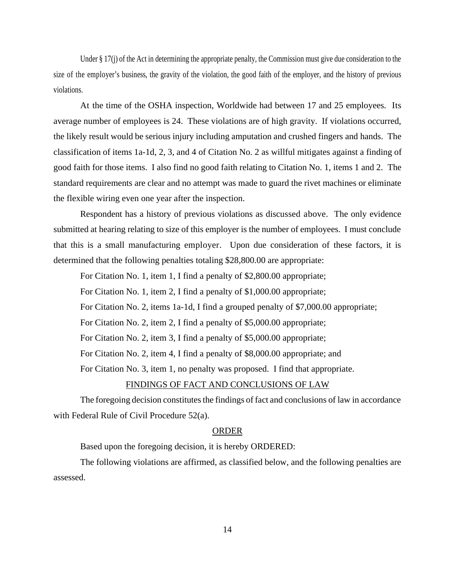Under § 17(j) of the Act in determining the appropriate penalty, the Commission must give due consideration to the size of the employer's business, the gravity of the violation, the good faith of the employer, and the history of previous violations.

At the time of the OSHA inspection, Worldwide had between 17 and 25 employees. Its average number of employees is 24. These violations are of high gravity. If violations occurred, the likely result would be serious injury including amputation and crushed fingers and hands. The classification of items 1a-1d, 2, 3, and 4 of Citation No. 2 as willful mitigates against a finding of good faith for those items. I also find no good faith relating to Citation No. 1, items 1 and 2. The standard requirements are clear and no attempt was made to guard the rivet machines or eliminate the flexible wiring even one year after the inspection.

Respondent has a history of previous violations as discussed above. The only evidence submitted at hearing relating to size of this employer is the number of employees. I must conclude that this is a small manufacturing employer. Upon due consideration of these factors, it is determined that the following penalties totaling \$28,800.00 are appropriate:

For Citation No. 1, item 1, I find a penalty of \$2,800.00 appropriate;

For Citation No. 1, item 2, I find a penalty of \$1,000.00 appropriate;

For Citation No. 2, items 1a-1d, I find a grouped penalty of \$7,000.00 appropriate;

For Citation No. 2, item 2, I find a penalty of \$5,000.00 appropriate;

For Citation No. 2, item 3, I find a penalty of \$5,000.00 appropriate;

For Citation No. 2, item 4, I find a penalty of \$8,000.00 appropriate; and

For Citation No. 3, item 1, no penalty was proposed. I find that appropriate.

## FINDINGS OF FACT AND CONCLUSIONS OF LAW

The foregoing decision constitutes the findings of fact and conclusions of law in accordance with Federal Rule of Civil Procedure 52(a).

#### ORDER

Based upon the foregoing decision, it is hereby ORDERED:

The following violations are affirmed, as classified below, and the following penalties are assessed.